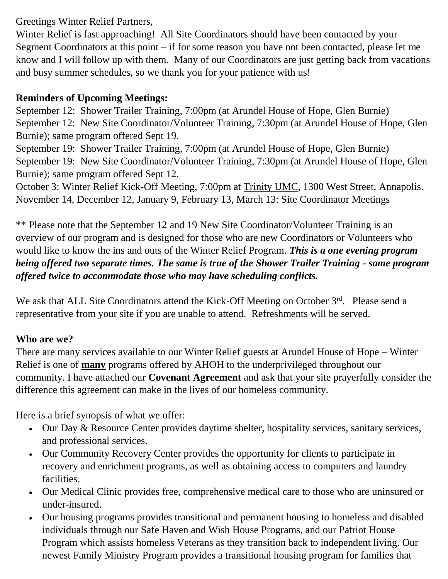Greetings Winter Relief Partners,

Winter Relief is fast approaching! All Site Coordinators should have been contacted by your Segment Coordinators at this point – if for some reason you have not been contacted, please let me know and I will follow up with them. Many of our Coordinators are just getting back from vacations and busy summer schedules, so we thank you for your patience with us!

## **Reminders of Upcoming Meetings:**

September 12: Shower Trailer Training, 7:00pm (at Arundel House of Hope, Glen Burnie) September 12: New Site Coordinator/Volunteer Training, 7:30pm (at Arundel House of Hope, Glen Burnie); same program offered Sept 19.

September 19: Shower Trailer Training, 7:00pm (at Arundel House of Hope, Glen Burnie) September 19: New Site Coordinator/Volunteer Training, 7:30pm (at Arundel House of Hope, Glen Burnie); same program offered Sept 12.

October 3: Winter Relief Kick-Off Meeting, 7:00pm at Trinity UMC, 1300 West Street, Annapolis. November 14, December 12, January 9, February 13, March 13: Site Coordinator Meetings

\*\* Please note that the September 12 and 19 New Site Coordinator/Volunteer Training is an overview of our program and is designed for those who are new Coordinators or Volunteers who would like to know the ins and outs of the Winter Relief Program. *This is a one evening program being offered two separate times. The same is true of the Shower Trailer Training - same program offered twice to accommodate those who may have scheduling conflicts.*

We ask that ALL Site Coordinators attend the Kick-Off Meeting on October 3<sup>rd</sup>. Please send a representative from your site if you are unable to attend. Refreshments will be served.

## **Who are we?**

There are many services available to our Winter Relief guests at Arundel House of Hope – Winter Relief is one of **many** programs offered by AHOH to the underprivileged throughout our community. I have attached our **Covenant Agreement** and ask that your site prayerfully consider the difference this agreement can make in the lives of our homeless community.

Here is a brief synopsis of what we offer:

- Our Day & Resource Center provides daytime shelter, hospitality services, sanitary services, and professional services.
- Our Community Recovery Center provides the opportunity for clients to participate in recovery and enrichment programs, as well as obtaining access to computers and laundry facilities.
- Our Medical Clinic provides free, comprehensive medical care to those who are uninsured or under-insured.
- Our housing programs provides transitional and permanent housing to homeless and disabled individuals through our Safe Haven and Wish House Programs, and our Patriot House Program which assists homeless Veterans as they transition back to independent living. Our newest Family Ministry Program provides a transitional housing program for families that